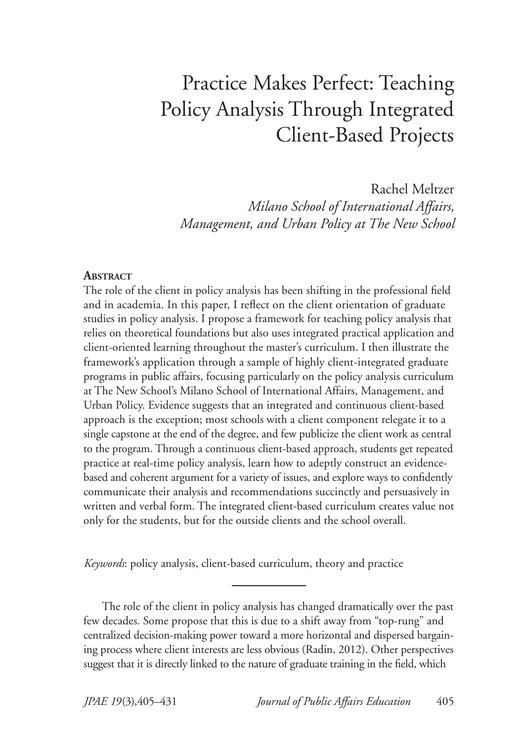# Practice Makes Perfect: Teaching Policy Analysis Through Integrated Client-Based Projects

Rachel Meltzer *Milano School of International Affairs, Management, and Urban Policy at The New School*

### **Abstract**

The role of the client in policy analysis has been shifting in the professional field and in academia. In this paper, I reflect on the client orientation of graduate studies in policy analysis. I propose a framework for teaching policy analysis that relies on theoretical foundations but also uses integrated practical application and client-oriented learning throughout the master's curriculum. I then illustrate the framework's application through a sample of highly client-integrated graduate programs in public affairs, focusing particularly on the policy analysis curriculum at The New School's Milano School of International Affairs, Management, and Urban Policy. Evidence suggests that an integrated and continuous client-based approach is the exception; most schools with a client component relegate it to a single capstone at the end of the degree, and few publicize the client work as central to the program. Through a continuous client-based approach, students get repeated practice at real-time policy analysis, learn how to adeptly construct an evidencebased and coherent argument for a variety of issues, and explore ways to confidently communicate their analysis and recommendations succinctly and persuasively in written and verbal form. The integrated client-based curriculum creates value not only for the students, but for the outside clients and the school overall.

*Keywords*: policy analysis, client-based curriculum, theory and practice

The role of the client in policy analysis has changed dramatically over the past few decades. Some propose that this is due to a shift away from "top-rung" and centralized decision-making power toward a more horizontal and dispersed bargaining process where client interests are less obvious (Radin, 2012). Other perspectives suggest that it is directly linked to the nature of graduate training in the field, which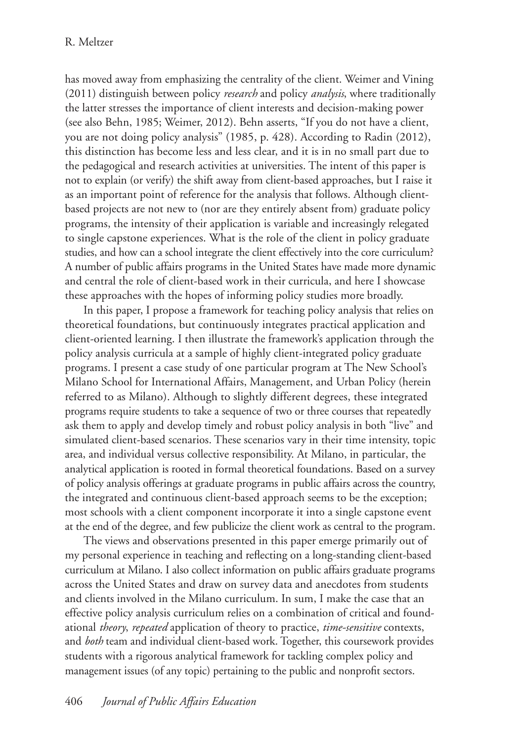has moved away from emphasizing the centrality of the client. Weimer and Vining (2011) distinguish between policy *research* and policy *analysis*, where traditionally the latter stresses the importance of client interests and decision-making power (see also Behn, 1985; Weimer, 2012). Behn asserts, "If you do not have a client, you are not doing policy analysis" (1985, p. 428). According to Radin (2012), this distinction has become less and less clear, and it is in no small part due to the pedagogical and research activities at universities. The intent of this paper is not to explain (or verify) the shift away from client-based approaches, but I raise it as an important point of reference for the analysis that follows. Although clientbased projects are not new to (nor are they entirely absent from) graduate policy programs, the intensity of their application is variable and increasingly relegated to single capstone experiences. What is the role of the client in policy graduate studies, and how can a school integrate the client effectively into the core curriculum? A number of public affairs programs in the United States have made more dynamic and central the role of client-based work in their curricula, and here I showcase these approaches with the hopes of informing policy studies more broadly.

In this paper, I propose a framework for teaching policy analysis that relies on theoretical foundations, but continuously integrates practical application and client-oriented learning. I then illustrate the framework's application through the policy analysis curricula at a sample of highly client-integrated policy graduate programs. I present a case study of one particular program at The New School's Milano School for International Affairs, Management, and Urban Policy (herein referred to as Milano). Although to slightly different degrees, these integrated programs require students to take a sequence of two or three courses that repeatedly ask them to apply and develop timely and robust policy analysis in both "live" and simulated client-based scenarios. These scenarios vary in their time intensity, topic area, and individual versus collective responsibility. At Milano, in particular, the analytical application is rooted in formal theoretical foundations. Based on a survey of policy analysis offerings at graduate programs in public affairs across the country, the integrated and continuous client-based approach seems to be the exception; most schools with a client component incorporate it into a single capstone event at the end of the degree, and few publicize the client work as central to the program.

The views and observations presented in this paper emerge primarily out of my personal experience in teaching and reflecting on a long-standing client-based curriculum at Milano. I also collect information on public affairs graduate programs across the United States and draw on survey data and anecdotes from students and clients involved in the Milano curriculum. In sum, I make the case that an effective policy analysis curriculum relies on a combination of critical and foundational *theory*, *repeated* application of theory to practice, *time-sensitive* contexts, and *both* team and individual client-based work. Together, this coursework provides students with a rigorous analytical framework for tackling complex policy and management issues (of any topic) pertaining to the public and nonprofit sectors.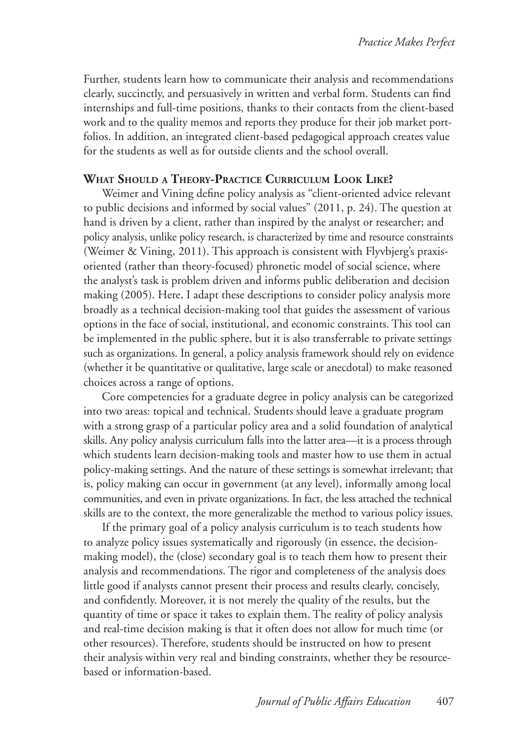Further, students learn how to communicate their analysis and recommendations clearly, succinctly, and persuasively in written and verbal form. Students can find internships and full-time positions, thanks to their contacts from the client-based work and to the quality memos and reports they produce for their job market portfolios. In addition, an integrated client-based pedagogical approach creates value for the students as well as for outside clients and the school overall.

## **What Should <sup>a</sup> Theory-Practice Curriculum Look Like?**

Weimer and Vining define policy analysis as "client-oriented advice relevant to public decisions and informed by social values" (2011, p. 24). The question at hand is driven by a client, rather than inspired by the analyst or researcher; and policy analysis, unlike policy research, is characterized by time and resource constraints (Weimer & Vining, 2011). This approach is consistent with Flyvbjerg's praxisoriented (rather than theory-focused) phronetic model of social science, where the analyst's task is problem driven and informs public deliberation and decision making (2005). Here, I adapt these descriptions to consider policy analysis more broadly as a technical decision-making tool that guides the assessment of various options in the face of social, institutional, and economic constraints. This tool can be implemented in the public sphere, but it is also transferrable to private settings such as organizations. In general, a policy analysis framework should rely on evidence (whether it be quantitative or qualitative, large scale or anecdotal) to make reasoned choices across a range of options.

Core competencies for a graduate degree in policy analysis can be categorized into two areas: topical and technical. Students should leave a graduate program with a strong grasp of a particular policy area and a solid foundation of analytical skills. Any policy analysis curriculum falls into the latter area—it is a process through which students learn decision-making tools and master how to use them in actual policy-making settings. And the nature of these settings is somewhat irrelevant; that is, policy making can occur in government (at any level), informally among local communities, and even in private organizations. In fact, the less attached the technical skills are to the context, the more generalizable the method to various policy issues.

If the primary goal of a policy analysis curriculum is to teach students how to analyze policy issues systematically and rigorously (in essence, the decisionmaking model), the (close) secondary goal is to teach them how to present their analysis and recommendations. The rigor and completeness of the analysis does little good if analysts cannot present their process and results clearly, concisely, and confidently. Moreover, it is not merely the quality of the results, but the quantity of time or space it takes to explain them. The reality of policy analysis and real-time decision making is that it often does not allow for much time (or other resources). Therefore, students should be instructed on how to present their analysis within very real and binding constraints, whether they be resourcebased or information-based.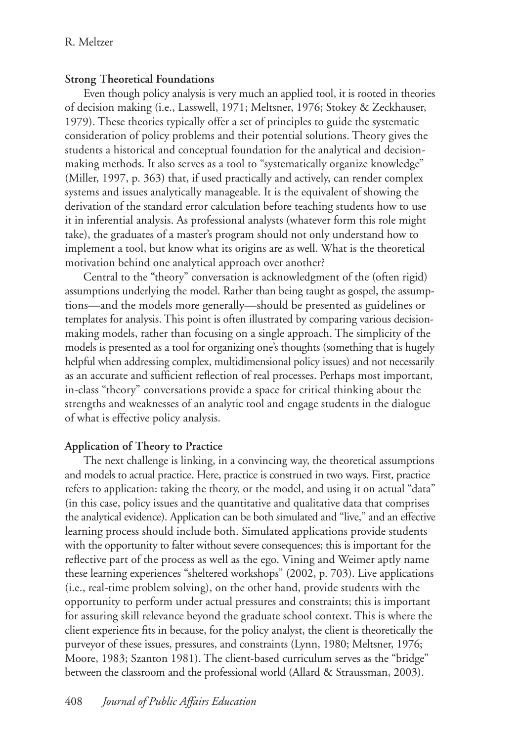## **Strong Theoretical Foundations**

Even though policy analysis is very much an applied tool, it is rooted in theories of decision making (i.e., Lasswell, 1971; Meltsner, 1976; Stokey & Zeckhauser, 1979). These theories typically offer a set of principles to guide the systematic consideration of policy problems and their potential solutions. Theory gives the students a historical and conceptual foundation for the analytical and decisionmaking methods. It also serves as a tool to "systematically organize knowledge" (Miller, 1997, p. 363) that, if used practically and actively, can render complex systems and issues analytically manageable. It is the equivalent of showing the derivation of the standard error calculation before teaching students how to use it in inferential analysis. As professional analysts (whatever form this role might take), the graduates of a master's program should not only understand how to implement a tool, but know what its origins are as well. What is the theoretical motivation behind one analytical approach over another?

Central to the "theory" conversation is acknowledgment of the (often rigid) assumptions underlying the model. Rather than being taught as gospel, the assumptions—and the models more generally—should be presented as guidelines or templates for analysis. This point is often illustrated by comparing various decisionmaking models, rather than focusing on a single approach. The simplicity of the models is presented as a tool for organizing one's thoughts (something that is hugely helpful when addressing complex, multidimensional policy issues) and not necessarily as an accurate and sufficient reflection of real processes. Perhaps most important, in-class "theory" conversations provide a space for critical thinking about the strengths and weaknesses of an analytic tool and engage students in the dialogue of what is effective policy analysis.

## **Application of Theory to Practice**

The next challenge is linking, in a convincing way, the theoretical assumptions and models to actual practice. Here, practice is construed in two ways. First, practice refers to application: taking the theory, or the model, and using it on actual "data" (in this case, policy issues and the quantitative and qualitative data that comprises the analytical evidence). Application can be both simulated and "live," and an effective learning process should include both. Simulated applications provide students with the opportunity to falter without severe consequences; this is important for the reflective part of the process as well as the ego. Vining and Weimer aptly name these learning experiences "sheltered workshops" (2002, p. 703). Live applications (i.e., real-time problem solving), on the other hand, provide students with the opportunity to perform under actual pressures and constraints; this is important for assuring skill relevance beyond the graduate school context. This is where the client experience fits in because, for the policy analyst, the client is theoretically the purveyor of these issues, pressures, and constraints (Lynn, 1980; Meltsner, 1976; Moore, 1983; Szanton 1981). The client-based curriculum serves as the "bridge" between the classroom and the professional world (Allard & Straussman, 2003).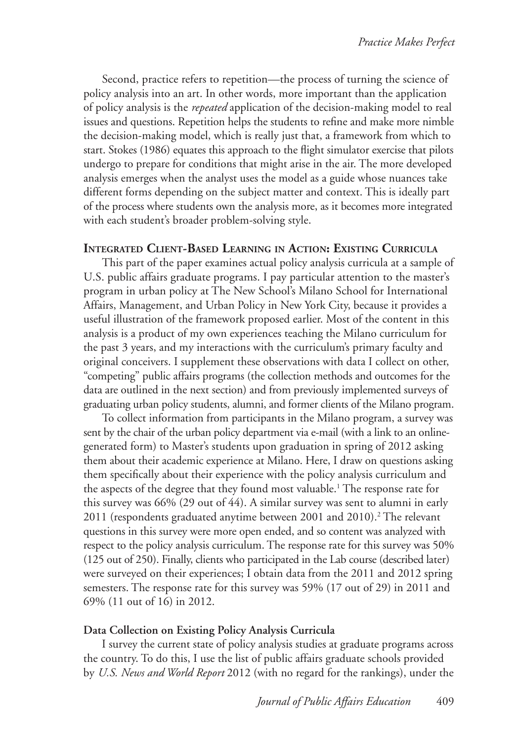Second, practice refers to repetition—the process of turning the science of policy analysis into an art. In other words, more important than the application of policy analysis is the *repeated* application of the decision-making model to real issues and questions. Repetition helps the students to refine and make more nimble the decision-making model, which is really just that, a framework from which to start. Stokes (1986) equates this approach to the flight simulator exercise that pilots undergo to prepare for conditions that might arise in the air. The more developed analysis emerges when the analyst uses the model as a guide whose nuances take different forms depending on the subject matter and context. This is ideally part of the process where students own the analysis more, as it becomes more integrated with each student's broader problem-solving style.

### **Integrated Client-Based Learning in Action: Existing Curricula**

This part of the paper examines actual policy analysis curricula at a sample of U.S. public affairs graduate programs. I pay particular attention to the master's program in urban policy at The New School's Milano School for International Affairs, Management, and Urban Policy in New York City, because it provides a useful illustration of the framework proposed earlier. Most of the content in this analysis is a product of my own experiences teaching the Milano curriculum for the past 3 years, and my interactions with the curriculum's primary faculty and original conceivers. I supplement these observations with data I collect on other, "competing" public affairs programs (the collection methods and outcomes for the data are outlined in the next section) and from previously implemented surveys of graduating urban policy students, alumni, and former clients of the Milano program.

To collect information from participants in the Milano program, a survey was sent by the chair of the urban policy department via e-mail (with a link to an onlinegenerated form) to Master's students upon graduation in spring of 2012 asking them about their academic experience at Milano. Here, I draw on questions asking them specifically about their experience with the policy analysis curriculum and the aspects of the degree that they found most valuable.<sup>1</sup> The response rate for this survey was 66% (29 out of 44). A similar survey was sent to alumni in early 2011 (respondents graduated anytime between 2001 and 2010).<sup>2</sup> The relevant questions in this survey were more open ended, and so content was analyzed with respect to the policy analysis curriculum. The response rate for this survey was 50% (125 out of 250). Finally, clients who participated in the Lab course (described later) were surveyed on their experiences; I obtain data from the 2011 and 2012 spring semesters. The response rate for this survey was 59% (17 out of 29) in 2011 and 69% (11 out of 16) in 2012.

### **Data Collection on Existing Policy Analysis Curricula**

I survey the current state of policy analysis studies at graduate programs across the country. To do this, I use the list of public affairs graduate schools provided by *U.S. News and World Report* 2012 (with no regard for the rankings), under the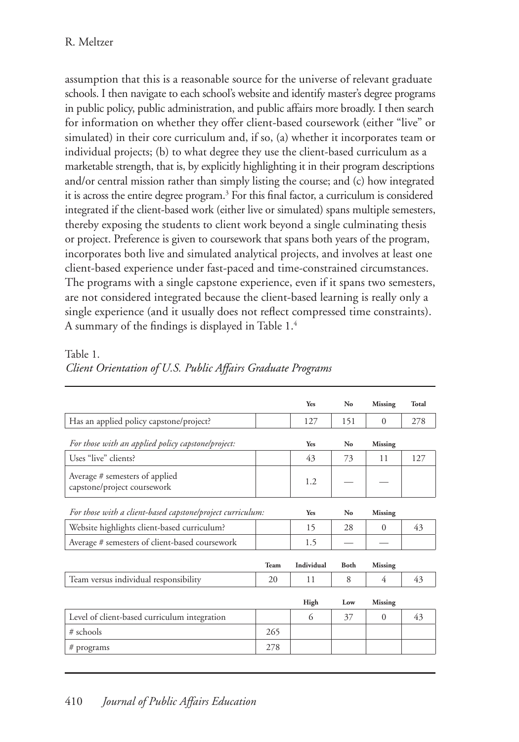assumption that this is a reasonable source for the universe of relevant graduate schools. I then navigate to each school's website and identify master's degree programs in public policy, public administration, and public affairs more broadly. I then search for information on whether they offer client-based coursework (either "live" or simulated) in their core curriculum and, if so, (a) whether it incorporates team or individual projects; (b) to what degree they use the client-based curriculum as a marketable strength, that is, by explicitly highlighting it in their program descriptions and/or central mission rather than simply listing the course; and (c) how integrated it is across the entire degree program.<sup>3</sup> For this final factor, a curriculum is considered integrated if the client-based work (either live or simulated) spans multiple semesters, thereby exposing the students to client work beyond a single culminating thesis or project. Preference is given to coursework that spans both years of the program, incorporates both live and simulated analytical projects, and involves at least one client-based experience under fast-paced and time-constrained circumstances. The programs with a single capstone experience, even if it spans two semesters, are not considered integrated because the client-based learning is really only a single experience (and it usually does not reflect compressed time constraints). A summary of the findings is displayed in Table 1. 4

## Table 1.

|                                                               |      | <b>Yes</b> | No             | <b>Missing</b> | Total |
|---------------------------------------------------------------|------|------------|----------------|----------------|-------|
| Has an applied policy capstone/project?                       |      | 127        | 151            | $\Omega$       | 278   |
| For those with an applied policy capstone/project:            |      | Yes        | No             | <b>Missing</b> |       |
| Uses "live" clients?                                          |      | 43         | 73             | 11             | 127   |
| Average # semesters of applied<br>capstone/project coursework |      | 1.2        |                |                |       |
| For those with a client-based capstone/project curriculum:    |      | Yes        | N <sub>o</sub> | <b>Missing</b> |       |
| Website highlights client-based curriculum?                   |      | 15         | 28             | $\Omega$       | 43    |
| Average # semesters of client-based coursework                |      | 1.5        |                |                |       |
|                                                               | Team | Individual | Both           | Missing        |       |
| Team versus individual responsibility                         | 20   | 11         | 8              | 4              | 43    |
|                                                               |      | High       | Low            | <b>Missing</b> |       |
| Level of client-based curriculum integration                  |      | 6          | 37             | $\Omega$       | 43    |
| $#$ schools                                                   | 265  |            |                |                |       |
| $#$ programs                                                  | 278  |            |                |                |       |

## *Client Orientation of U.S. Public Affairs Graduate Programs*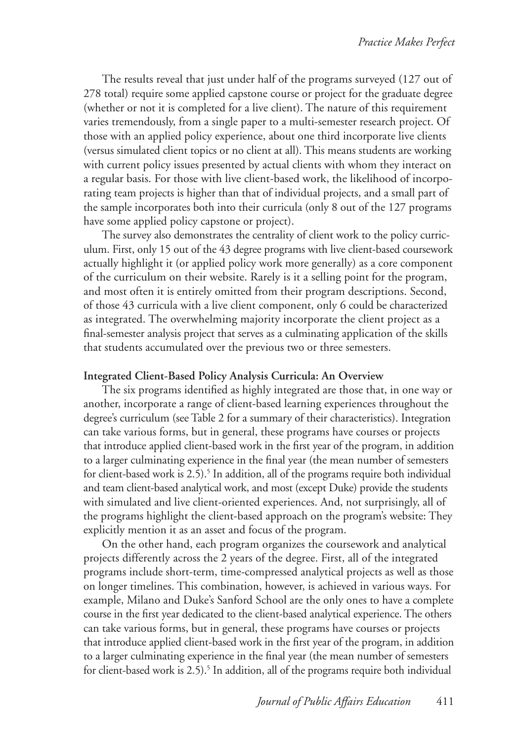The results reveal that just under half of the programs surveyed (127 out of 278 total) require some applied capstone course or project for the graduate degree (whether or not it is completed for a live client). The nature of this requirement varies tremendously, from a single paper to a multi-semester research project. Of those with an applied policy experience, about one third incorporate live clients (versus simulated client topics or no client at all). This means students are working with current policy issues presented by actual clients with whom they interact on a regular basis. For those with live client-based work, the likelihood of incorporating team projects is higher than that of individual projects, and a small part of the sample incorporates both into their curricula (only 8 out of the 127 programs have some applied policy capstone or project).

The survey also demonstrates the centrality of client work to the policy curriculum. First, only 15 out of the 43 degree programs with live client-based coursework actually highlight it (or applied policy work more generally) as a core component of the curriculum on their website. Rarely is it a selling point for the program, and most often it is entirely omitted from their program descriptions. Second, of those 43 curricula with a live client component, only 6 could be characterized as integrated. The overwhelming majority incorporate the client project as a final-semester analysis project that serves as a culminating application of the skills that students accumulated over the previous two or three semesters.

### **Integrated Client-Based Policy Analysis Curricula: An Overview**

The six programs identified as highly integrated are those that, in one way or another, incorporate a range of client-based learning experiences throughout the degree's curriculum (see Table 2 for a summary of their characteristics). Integration can take various forms, but in general, these programs have courses or projects that introduce applied client-based work in the first year of the program, in addition to a larger culminating experience in the final year (the mean number of semesters for client-based work is 2.5).<sup>5</sup> In addition, all of the programs require both individual and team client-based analytical work, and most (except Duke) provide the students with simulated and live client-oriented experiences. And, not surprisingly, all of the programs highlight the client-based approach on the program's website: They explicitly mention it as an asset and focus of the program.

On the other hand, each program organizes the coursework and analytical projects differently across the 2 years of the degree. First, all of the integrated programs include short-term, time-compressed analytical projects as well as those on longer timelines. This combination, however, is achieved in various ways. For example, Milano and Duke's Sanford School are the only ones to have a complete course in the first year dedicated to the client-based analytical experience. The others can take various forms, but in general, these programs have courses or projects that introduce applied client-based work in the first year of the program, in addition to a larger culminating experience in the final year (the mean number of semesters for client-based work is 2.5).<sup>5</sup> In addition, all of the programs require both individual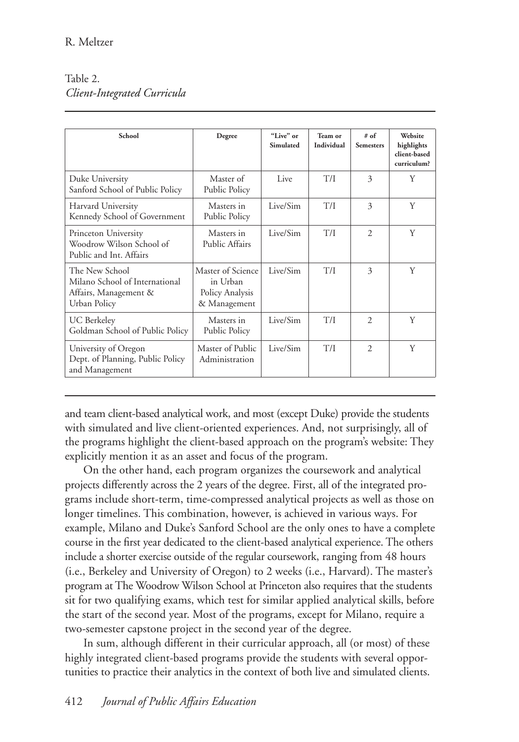## Table 2. *Client-Integrated Curricula*

| School                                                                                    | Degree                                                           | "Live" or<br>Simulated | Team or<br>Individual | # of<br><b>Semesters</b> | Website<br>highlights<br>client-based<br>curriculum? |
|-------------------------------------------------------------------------------------------|------------------------------------------------------------------|------------------------|-----------------------|--------------------------|------------------------------------------------------|
| Duke University<br>Sanford School of Public Policy                                        | Master of<br>Public Policy                                       | Live                   | T/I                   | 3                        | Y                                                    |
| Harvard University<br>Kennedy School of Government                                        | Masters in<br>Public Policy                                      | Live/Sim               | T/I                   | 3                        | Y                                                    |
| Princeton University<br>Woodrow Wilson School of<br>Public and Int. Affairs               | Masters in<br>Public Affairs                                     | Live/Sim               | T/I                   | $\overline{c}$           | Y                                                    |
| The New School<br>Milano School of International<br>Affairs, Management &<br>Urban Policy | Master of Science<br>in Urban<br>Policy Analysis<br>& Management | Live/Sim               | T/I                   | 3                        | Y                                                    |
| <b>UC</b> Berkeley<br>Goldman School of Public Policy                                     | Masters in<br>Public Policy                                      | Live/Sim               | T/I                   | $\mathfrak{D}$           | Y                                                    |
| University of Oregon<br>Dept. of Planning, Public Policy<br>and Management                | Master of Public<br>Administration                               | Live/Sim               | T/I                   | $\mathfrak{D}$           | Y                                                    |

and team client-based analytical work, and most (except Duke) provide the students with simulated and live client-oriented experiences. And, not surprisingly, all of the programs highlight the client-based approach on the program's website: They explicitly mention it as an asset and focus of the program.

On the other hand, each program organizes the coursework and analytical projects differently across the 2 years of the degree. First, all of the integrated programs include short-term, time-compressed analytical projects as well as those on longer timelines. This combination, however, is achieved in various ways. For example, Milano and Duke's Sanford School are the only ones to have a complete course in the first year dedicated to the client-based analytical experience. The others include a shorter exercise outside of the regular coursework, ranging from 48 hours (i.e., Berkeley and University of Oregon) to 2 weeks (i.e., Harvard). The master's program at The Woodrow Wilson School at Princeton also requires that the students sit for two qualifying exams, which test for similar applied analytical skills, before the start of the second year. Most of the programs, except for Milano, require a two-semester capstone project in the second year of the degree.

In sum, although different in their curricular approach, all (or most) of these highly integrated client-based programs provide the students with several opportunities to practice their analytics in the context of both live and simulated clients.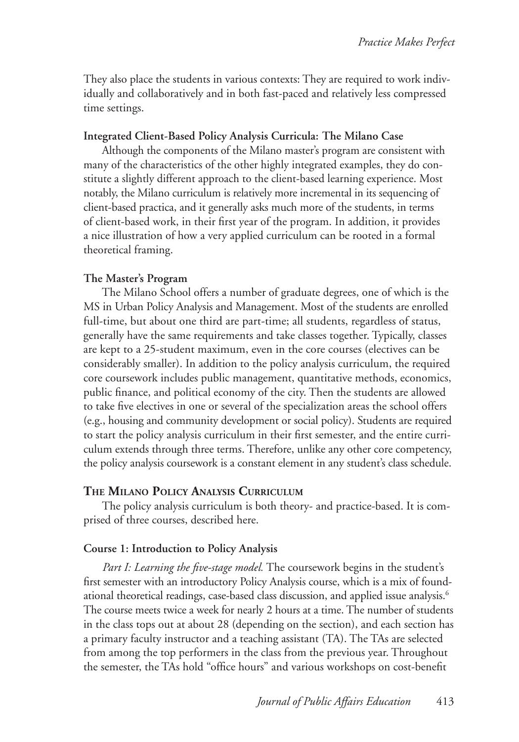They also place the students in various contexts: They are required to work individually and collaboratively and in both fast-paced and relatively less compressed time settings.

#### **Integrated Client-Based Policy Analysis Curricula: The Milano Case**

Although the components of the Milano master's program are consistent with many of the characteristics of the other highly integrated examples, they do constitute a slightly different approach to the client-based learning experience. Most notably, the Milano curriculum is relatively more incremental in its sequencing of client-based practica, and it generally asks much more of the students, in terms of client-based work, in their first year of the program. In addition, it provides a nice illustration of how a very applied curriculum can be rooted in a formal theoretical framing.

#### **The Master's Program**

The Milano School offers a number of graduate degrees, one of which is the MS in Urban Policy Analysis and Management. Most of the students are enrolled full-time, but about one third are part-time; all students, regardless of status, generally have the same requirements and take classes together. Typically, classes are kept to a 25-student maximum, even in the core courses (electives can be considerably smaller). In addition to the policy analysis curriculum, the required core coursework includes public management, quantitative methods, economics, public finance, and political economy of the city. Then the students are allowed to take five electives in one or several of the specialization areas the school offers (e.g., housing and community development or social policy). Students are required to start the policy analysis curriculum in their first semester, and the entire curriculum extends through three terms. Therefore, unlike any other core competency, the policy analysis coursework is a constant element in any student's class schedule.

## **The Milano Policy Analysis Curriculum**

The policy analysis curriculum is both theory- and practice-based. It is comprised of three courses, described here.

### **Course 1: Introduction to Policy Analysis**

*Part I: Learning the five-stage model.* The coursework begins in the student's first semester with an introductory Policy Analysis course, which is a mix of foundational theoretical readings, case-based class discussion, and applied issue analysis.6 The course meets twice a week for nearly 2 hours at a time. The number of students in the class tops out at about 28 (depending on the section), and each section has a primary faculty instructor and a teaching assistant (TA). The TAs are selected from among the top performers in the class from the previous year. Throughout the semester, the TAs hold "office hours" and various workshops on cost-benefit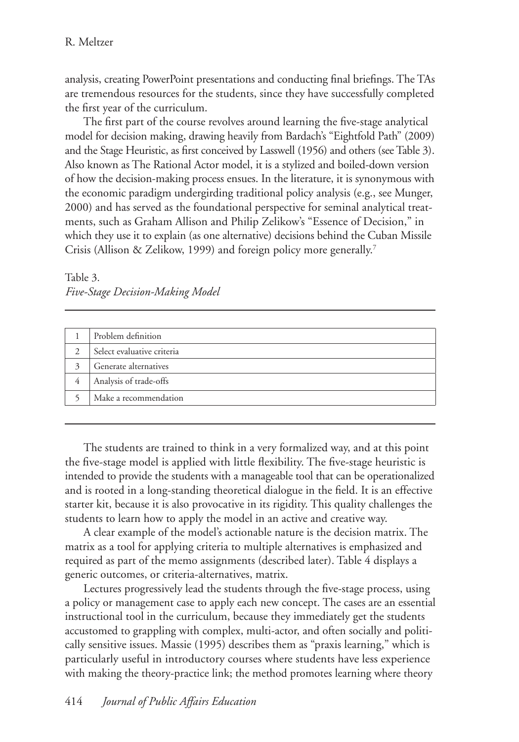analysis, creating PowerPoint presentations and conducting final briefings. The TAs are tremendous resources for the students, since they have successfully completed the first year of the curriculum.

The first part of the course revolves around learning the five-stage analytical model for decision making, drawing heavily from Bardach's "Eightfold Path" (2009) and the Stage Heuristic, as first conceived by Lasswell (1956) and others (see Table 3). Also known as The Rational Actor model, it is a stylized and boiled-down version of how the decision-making process ensues. In the literature, it is synonymous with the economic paradigm undergirding traditional policy analysis (e.g., see Munger, 2000) and has served as the foundational perspective for seminal analytical treatments, such as Graham Allison and Philip Zelikow's "Essence of Decision," in which they use it to explain (as one alternative) decisions behind the Cuban Missile Crisis (Allison & Zelikow, 1999) and foreign policy more generally.7

## Table 3. *Five-Stage Decision-Making Model*

|   | Problem definition         |
|---|----------------------------|
|   | Select evaluative criteria |
| 3 | Generate alternatives      |
| 4 | Analysis of trade-offs     |
|   | Make a recommendation      |

The students are trained to think in a very formalized way, and at this point the five-stage model is applied with little flexibility. The five-stage heuristic is intended to provide the students with a manageable tool that can be operationalized and is rooted in a long-standing theoretical dialogue in the field. It is an effective starter kit, because it is also provocative in its rigidity. This quality challenges the students to learn how to apply the model in an active and creative way.

A clear example of the model's actionable nature is the decision matrix. The matrix as a tool for applying criteria to multiple alternatives is emphasized and required as part of the memo assignments (described later). Table 4 displays a generic outcomes, or criteria-alternatives, matrix.

Lectures progressively lead the students through the five-stage process, using a policy or management case to apply each new concept. The cases are an essential instructional tool in the curriculum, because they immediately get the students accustomed to grappling with complex, multi-actor, and often socially and politically sensitive issues. Massie (1995) describes them as "praxis learning," which is particularly useful in introductory courses where students have less experience with making the theory-practice link; the method promotes learning where theory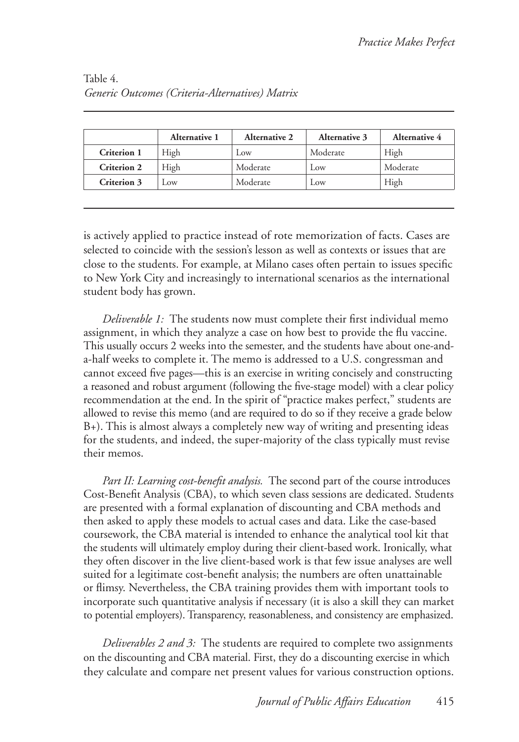|                    | Alternative 1 | Alternative 2 | Alternative 3 | Alternative 4 |
|--------------------|---------------|---------------|---------------|---------------|
| <b>Criterion 1</b> | High          | Low           | Moderate      | High          |
| <b>Criterion 2</b> | High          | Moderate      | Low           | Moderate      |
| Criterion 3        | Low           | Moderate      | Low           | High          |

Table 4. *Generic Outcomes (Criteria-Alternatives) Matrix*

is actively applied to practice instead of rote memorization of facts. Cases are selected to coincide with the session's lesson as well as contexts or issues that are close to the students. For example, at Milano cases often pertain to issues specific to New York City and increasingly to international scenarios as the international student body has grown.

*Deliverable 1:* The students now must complete their first individual memo assignment, in which they analyze a case on how best to provide the flu vaccine. This usually occurs 2 weeks into the semester, and the students have about one-anda-half weeks to complete it. The memo is addressed to a U.S. congressman and cannot exceed five pages—this is an exercise in writing concisely and constructing a reasoned and robust argument (following the five-stage model) with a clear policy recommendation at the end. In the spirit of "practice makes perfect," students are allowed to revise this memo (and are required to do so if they receive a grade below B+). This is almost always a completely new way of writing and presenting ideas for the students, and indeed, the super-majority of the class typically must revise their memos.

*Part II: Learning cost-benefit analysis.* The second part of the course introduces Cost-Benefit Analysis (CBA), to which seven class sessions are dedicated. Students are presented with a formal explanation of discounting and CBA methods and then asked to apply these models to actual cases and data. Like the case-based coursework, the CBA material is intended to enhance the analytical tool kit that the students will ultimately employ during their client-based work. Ironically, what they often discover in the live client-based work is that few issue analyses are well suited for a legitimate cost-benefit analysis; the numbers are often unattainable or flimsy. Nevertheless, the CBA training provides them with important tools to incorporate such quantitative analysis if necessary (it is also a skill they can market to potential employers). Transparency, reasonableness, and consistency are emphasized.

*Deliverables 2 and 3:*The students are required to complete two assignments on the discounting and CBA material. First, they do a discounting exercise in which they calculate and compare net present values for various construction options.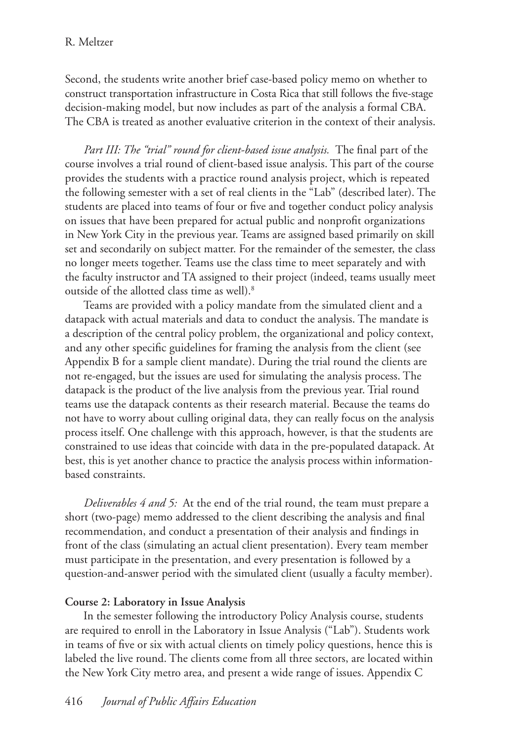Second, the students write another brief case-based policy memo on whether to construct transportation infrastructure in Costa Rica that still follows the five-stage decision-making model, but now includes as part of the analysis a formal CBA. The CBA is treated as another evaluative criterion in the context of their analysis.

*Part III: The "trial" round for client-based issue analysis.* The final part of the course involves a trial round of client-based issue analysis. This part of the course provides the students with a practice round analysis project, which is repeated the following semester with a set of real clients in the "Lab" (described later). The students are placed into teams of four or five and together conduct policy analysis on issues that have been prepared for actual public and nonprofit organizations in New York City in the previous year. Teams are assigned based primarily on skill set and secondarily on subject matter. For the remainder of the semester, the class no longer meets together. Teams use the class time to meet separately and with the faculty instructor and TA assigned to their project (indeed, teams usually meet outside of the allotted class time as well).8

Teams are provided with a policy mandate from the simulated client and a datapack with actual materials and data to conduct the analysis. The mandate is a description of the central policy problem, the organizational and policy context, and any other specific guidelines for framing the analysis from the client (see Appendix B for a sample client mandate). During the trial round the clients are not re-engaged, but the issues are used for simulating the analysis process. The datapack is the product of the live analysis from the previous year. Trial round teams use the datapack contents as their research material. Because the teams do not have to worry about culling original data, they can really focus on the analysis process itself. One challenge with this approach, however, is that the students are constrained to use ideas that coincide with data in the pre-populated datapack. At best, this is yet another chance to practice the analysis process within informationbased constraints.

*Deliverables 4 and 5:*At the end of the trial round, the team must prepare a short (two-page) memo addressed to the client describing the analysis and final recommendation, and conduct a presentation of their analysis and findings in front of the class (simulating an actual client presentation). Every team member must participate in the presentation, and every presentation is followed by a question-and-answer period with the simulated client (usually a faculty member).

## **Course 2: Laboratory in Issue Analysis**

In the semester following the introductory Policy Analysis course, students are required to enroll in the Laboratory in Issue Analysis ("Lab"). Students work in teams of five or six with actual clients on timely policy questions, hence this is labeled the live round. The clients come from all three sectors, are located within the New York City metro area, and present a wide range of issues. Appendix C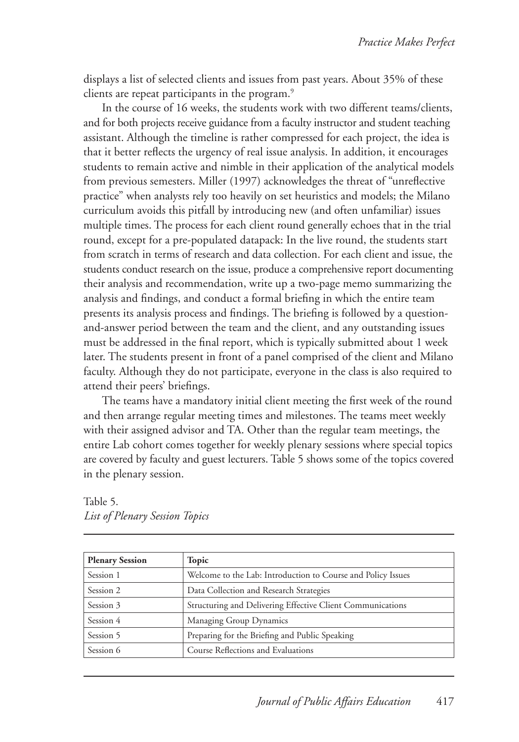displays a list of selected clients and issues from past years. About 35% of these clients are repeat participants in the program.<sup>9</sup>

In the course of 16 weeks, the students work with two different teams/clients, and for both projects receive guidance from a faculty instructor and student teaching assistant. Although the timeline is rather compressed for each project, the idea is that it better reflects the urgency of real issue analysis. In addition, it encourages students to remain active and nimble in their application of the analytical models from previous semesters. Miller (1997) acknowledges the threat of "unreflective practice" when analysts rely too heavily on set heuristics and models; the Milano curriculum avoids this pitfall by introducing new (and often unfamiliar) issues multiple times. The process for each client round generally echoes that in the trial round, except for a pre-populated datapack: In the live round, the students start from scratch in terms of research and data collection. For each client and issue, the students conduct research on the issue, produce a comprehensive report documenting their analysis and recommendation, write up a two-page memo summarizing the analysis and findings, and conduct a formal briefing in which the entire team presents its analysis process and findings. The briefing is followed by a questionand-answer period between the team and the client, and any outstanding issues must be addressed in the final report, which is typically submitted about 1 week later. The students present in front of a panel comprised of the client and Milano faculty. Although they do not participate, everyone in the class is also required to attend their peers' briefings.

The teams have a mandatory initial client meeting the first week of the round and then arrange regular meeting times and milestones. The teams meet weekly with their assigned advisor and TA. Other than the regular team meetings, the entire Lab cohort comes together for weekly plenary sessions where special topics are covered by faculty and guest lecturers. Table 5 shows some of the topics covered in the plenary session.

| <b>Plenary Session</b> | <b>Topic</b>                                                 |
|------------------------|--------------------------------------------------------------|
| Session 1              | Welcome to the Lab: Introduction to Course and Policy Issues |
| Session 2              | Data Collection and Research Strategies                      |
| Session 3              | Structuring and Delivering Effective Client Communications   |
| Session 4              | Managing Group Dynamics                                      |
| Session 5              | Preparing for the Briefing and Public Speaking               |
| Session 6              | Course Reflections and Evaluations                           |

Table 5. *List of Plenary Session Topics*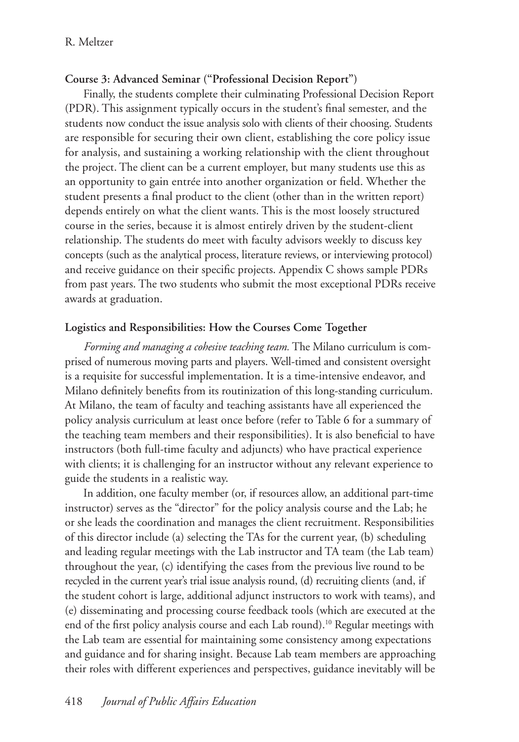## **Course 3: Advanced Seminar ("Professional Decision Report")**

Finally, the students complete their culminating Professional Decision Report (PDR). This assignment typically occurs in the student's final semester, and the students now conduct the issue analysis solo with clients of their choosing. Students are responsible for securing their own client, establishing the core policy issue for analysis, and sustaining a working relationship with the client throughout the project. The client can be a current employer, but many students use this as an opportunity to gain entrée into another organization or field. Whether the student presents a final product to the client (other than in the written report) depends entirely on what the client wants. This is the most loosely structured course in the series, because it is almost entirely driven by the student-client relationship. The students do meet with faculty advisors weekly to discuss key concepts (such as the analytical process, literature reviews, or interviewing protocol) and receive guidance on their specific projects. Appendix C shows sample PDRs from past years. The two students who submit the most exceptional PDRs receive awards at graduation.

## **Logistics and Responsibilities: How the Courses Come Together**

*Forming and managing a cohesive teaching team.* The Milano curriculum is comprised of numerous moving parts and players. Well-timed and consistent oversight is a requisite for successful implementation. It is a time-intensive endeavor, and Milano definitely benefits from its routinization of this long-standing curriculum. At Milano, the team of faculty and teaching assistants have all experienced the policy analysis curriculum at least once before (refer to Table 6 for a summary of the teaching team members and their responsibilities). It is also beneficial to have instructors (both full-time faculty and adjuncts) who have practical experience with clients; it is challenging for an instructor without any relevant experience to guide the students in a realistic way.

In addition, one faculty member (or, if resources allow, an additional part-time instructor) serves as the "director" for the policy analysis course and the Lab; he or she leads the coordination and manages the client recruitment. Responsibilities of this director include (a) selecting the TAs for the current year, (b) scheduling and leading regular meetings with the Lab instructor and TA team (the Lab team) throughout the year, (c) identifying the cases from the previous live round to be recycled in the current year's trial issue analysis round, (d) recruiting clients (and, if the student cohort is large, additional adjunct instructors to work with teams), and (e) disseminating and processing course feedback tools (which are executed at the end of the first policy analysis course and each Lab round).<sup>10</sup> Regular meetings with the Lab team are essential for maintaining some consistency among expectations and guidance and for sharing insight. Because Lab team members are approaching their roles with different experiences and perspectives, guidance inevitably will be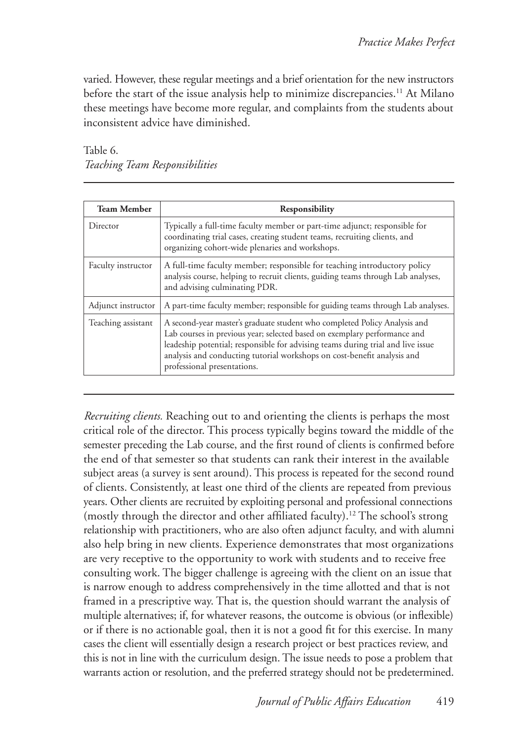varied. However, these regular meetings and a brief orientation for the new instructors before the start of the issue analysis help to minimize discrepancies.<sup>11</sup> At Milano these meetings have become more regular, and complaints from the students about inconsistent advice have diminished.

Table 6. *Teaching Team Responsibilities*

| <b>Team Member</b> | Responsibility                                                                                                                                                                                                                                                                                                                                      |
|--------------------|-----------------------------------------------------------------------------------------------------------------------------------------------------------------------------------------------------------------------------------------------------------------------------------------------------------------------------------------------------|
| Director           | Typically a full-time faculty member or part-time adjunct; responsible for<br>coordinating trial cases, creating student teams, recruiting clients, and<br>organizing cohort-wide plenaries and workshops.                                                                                                                                          |
| Faculty instructor | A full-time faculty member; responsible for teaching introductory policy<br>analysis course, helping to recruit clients, guiding teams through Lab analyses,<br>and advising culminating PDR.                                                                                                                                                       |
| Adjunct instructor | A part-time faculty member; responsible for guiding teams through Lab analyses.                                                                                                                                                                                                                                                                     |
| Teaching assistant | A second-year master's graduate student who completed Policy Analysis and<br>Lab courses in previous year; selected based on exemplary performance and<br>leadeship potential; responsible for advising teams during trial and live issue<br>analysis and conducting tutorial workshops on cost-benefit analysis and<br>professional presentations. |

*Recruiting clients.* Reaching out to and orienting the clients is perhaps the most critical role of the director. This process typically begins toward the middle of the semester preceding the Lab course, and the first round of clients is confirmed before the end of that semester so that students can rank their interest in the available subject areas (a survey is sent around). This process is repeated for the second round of clients. Consistently, at least one third of the clients are repeated from previous years. Other clients are recruited by exploiting personal and professional connections (mostly through the director and other affiliated faculty).<sup>12</sup> The school's strong relationship with practitioners, who are also often adjunct faculty, and with alumni also help bring in new clients. Experience demonstrates that most organizations are very receptive to the opportunity to work with students and to receive free consulting work. The bigger challenge is agreeing with the client on an issue that is narrow enough to address comprehensively in the time allotted and that is not framed in a prescriptive way. That is, the question should warrant the analysis of multiple alternatives; if, for whatever reasons, the outcome is obvious (or inflexible) or if there is no actionable goal, then it is not a good fit for this exercise. In many cases the client will essentially design a research project or best practices review, and this is not in line with the curriculum design. The issue needs to pose a problem that warrants action or resolution, and the preferred strategy should not be predetermined.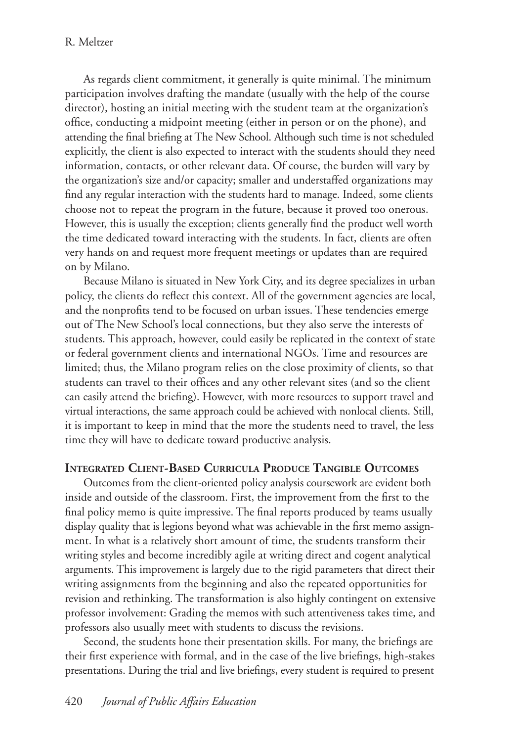As regards client commitment, it generally is quite minimal. The minimum participation involves drafting the mandate (usually with the help of the course director), hosting an initial meeting with the student team at the organization's office, conducting a midpoint meeting (either in person or on the phone), and attending the final briefing at The New School. Although such time is not scheduled explicitly, the client is also expected to interact with the students should they need information, contacts, or other relevant data. Of course, the burden will vary by the organization's size and/or capacity; smaller and understaffed organizations may find any regular interaction with the students hard to manage. Indeed, some clients choose not to repeat the program in the future, because it proved too onerous. However, this is usually the exception; clients generally find the product well worth the time dedicated toward interacting with the students. In fact, clients are often very hands on and request more frequent meetings or updates than are required on by Milano.

Because Milano is situated in New York City, and its degree specializes in urban policy, the clients do reflect this context. All of the government agencies are local, and the nonprofits tend to be focused on urban issues. These tendencies emerge out of The New School's local connections, but they also serve the interests of students. This approach, however, could easily be replicated in the context of state or federal government clients and international NGOs. Time and resources are limited; thus, the Milano program relies on the close proximity of clients, so that students can travel to their offices and any other relevant sites (and so the client can easily attend the briefing). However, with more resources to support travel and virtual interactions, the same approach could be achieved with nonlocal clients. Still, it is important to keep in mind that the more the students need to travel, the less time they will have to dedicate toward productive analysis.

## **Integrated Client-Based Curricula Produce Tangible Outcomes**

Outcomes from the client-oriented policy analysis coursework are evident both inside and outside of the classroom. First, the improvement from the first to the final policy memo is quite impressive. The final reports produced by teams usually display quality that is legions beyond what was achievable in the first memo assignment. In what is a relatively short amount of time, the students transform their writing styles and become incredibly agile at writing direct and cogent analytical arguments. This improvement is largely due to the rigid parameters that direct their writing assignments from the beginning and also the repeated opportunities for revision and rethinking. The transformation is also highly contingent on extensive professor involvement: Grading the memos with such attentiveness takes time, and professors also usually meet with students to discuss the revisions.

Second, the students hone their presentation skills. For many, the briefings are their first experience with formal, and in the case of the live briefings, high-stakes presentations. During the trial and live briefings, every student is required to present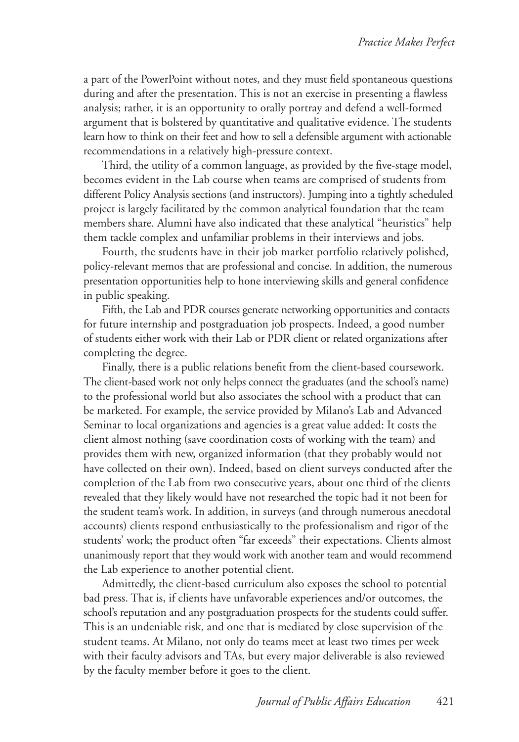a part of the PowerPoint without notes, and they must field spontaneous questions during and after the presentation. This is not an exercise in presenting a flawless analysis; rather, it is an opportunity to orally portray and defend a well-formed argument that is bolstered by quantitative and qualitative evidence. The students learn how to think on their feet and how to sell a defensible argument with actionable recommendations in a relatively high-pressure context.

Third, the utility of a common language, as provided by the five-stage model, becomes evident in the Lab course when teams are comprised of students from different Policy Analysis sections (and instructors). Jumping into a tightly scheduled project is largely facilitated by the common analytical foundation that the team members share. Alumni have also indicated that these analytical "heuristics" help them tackle complex and unfamiliar problems in their interviews and jobs.

Fourth, the students have in their job market portfolio relatively polished, policy-relevant memos that are professional and concise. In addition, the numerous presentation opportunities help to hone interviewing skills and general confidence in public speaking.

Fifth, the Lab and PDR courses generate networking opportunities and contacts for future internship and postgraduation job prospects. Indeed, a good number of students either work with their Lab or PDR client or related organizations after completing the degree.

Finally, there is a public relations benefit from the client-based coursework. The client-based work not only helps connect the graduates (and the school's name) to the professional world but also associates the school with a product that can be marketed. For example, the service provided by Milano's Lab and Advanced Seminar to local organizations and agencies is a great value added: It costs the client almost nothing (save coordination costs of working with the team) and provides them with new, organized information (that they probably would not have collected on their own). Indeed, based on client surveys conducted after the completion of the Lab from two consecutive years, about one third of the clients revealed that they likely would have not researched the topic had it not been for the student team's work. In addition, in surveys (and through numerous anecdotal accounts) clients respond enthusiastically to the professionalism and rigor of the students' work; the product often "far exceeds" their expectations. Clients almost unanimously report that they would work with another team and would recommend the Lab experience to another potential client.

Admittedly, the client-based curriculum also exposes the school to potential bad press. That is, if clients have unfavorable experiences and/or outcomes, the school's reputation and any postgraduation prospects for the students could suffer. This is an undeniable risk, and one that is mediated by close supervision of the student teams. At Milano, not only do teams meet at least two times per week with their faculty advisors and TAs, but every major deliverable is also reviewed by the faculty member before it goes to the client.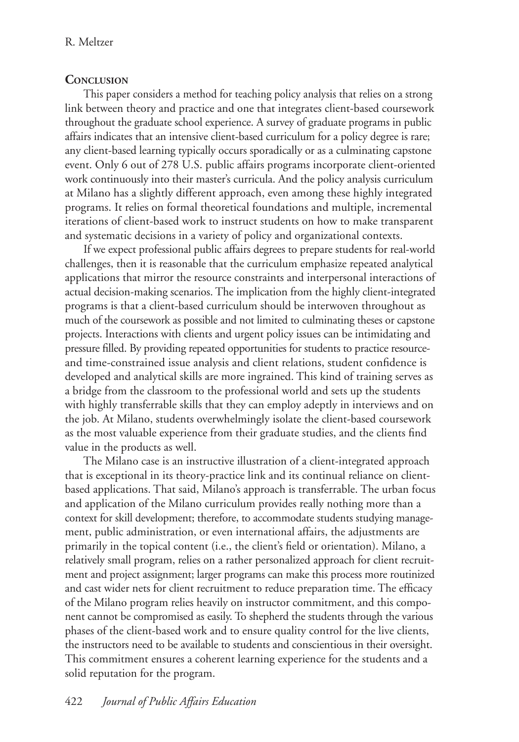## **Conclusion**

This paper considers a method for teaching policy analysis that relies on a strong link between theory and practice and one that integrates client-based coursework throughout the graduate school experience. A survey of graduate programs in public affairs indicates that an intensive client-based curriculum for a policy degree is rare; any client-based learning typically occurs sporadically or as a culminating capstone event. Only 6 out of 278 U.S. public affairs programs incorporate client-oriented work continuously into their master's curricula. And the policy analysis curriculum at Milano has a slightly different approach, even among these highly integrated programs. It relies on formal theoretical foundations and multiple, incremental iterations of client-based work to instruct students on how to make transparent and systematic decisions in a variety of policy and organizational contexts.

If we expect professional public affairs degrees to prepare students for real-world challenges, then it is reasonable that the curriculum emphasize repeated analytical applications that mirror the resource constraints and interpersonal interactions of actual decision-making scenarios. The implication from the highly client-integrated programs is that a client-based curriculum should be interwoven throughout as much of the coursework as possible and not limited to culminating theses or capstone projects. Interactions with clients and urgent policy issues can be intimidating and pressure filled. By providing repeated opportunities for students to practice resourceand time-constrained issue analysis and client relations, student confidence is developed and analytical skills are more ingrained. This kind of training serves as a bridge from the classroom to the professional world and sets up the students with highly transferrable skills that they can employ adeptly in interviews and on the job. At Milano, students overwhelmingly isolate the client-based coursework as the most valuable experience from their graduate studies, and the clients find value in the products as well.

The Milano case is an instructive illustration of a client-integrated approach that is exceptional in its theory-practice link and its continual reliance on clientbased applications. That said, Milano's approach is transferrable. The urban focus and application of the Milano curriculum provides really nothing more than a context for skill development; therefore, to accommodate students studying management, public administration, or even international affairs, the adjustments are primarily in the topical content (i.e., the client's field or orientation). Milano, a relatively small program, relies on a rather personalized approach for client recruitment and project assignment; larger programs can make this process more routinized and cast wider nets for client recruitment to reduce preparation time. The efficacy of the Milano program relies heavily on instructor commitment, and this component cannot be compromised as easily. To shepherd the students through the various phases of the client-based work and to ensure quality control for the live clients, the instructors need to be available to students and conscientious in their oversight. This commitment ensures a coherent learning experience for the students and a solid reputation for the program.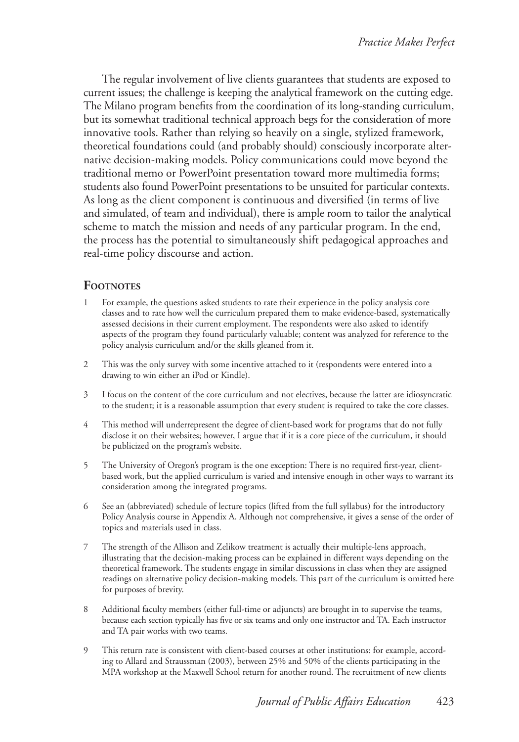The regular involvement of live clients guarantees that students are exposed to current issues; the challenge is keeping the analytical framework on the cutting edge. The Milano program benefits from the coordination of its long-standing curriculum, but its somewhat traditional technical approach begs for the consideration of more innovative tools. Rather than relying so heavily on a single, stylized framework, theoretical foundations could (and probably should) consciously incorporate alternative decision-making models. Policy communications could move beyond the traditional memo or PowerPoint presentation toward more multimedia forms; students also found PowerPoint presentations to be unsuited for particular contexts. As long as the client component is continuous and diversified (in terms of live and simulated, of team and individual), there is ample room to tailor the analytical scheme to match the mission and needs of any particular program. In the end, the process has the potential to simultaneously shift pedagogical approaches and real-time policy discourse and action.

## **FOOTNOTES**

- For example, the questions asked students to rate their experience in the policy analysis core classes and to rate how well the curriculum prepared them to make evidence-based, systematically assessed decisions in their current employment. The respondents were also asked to identify aspects of the program they found particularly valuable; content was analyzed for reference to the policy analysis curriculum and/or the skills gleaned from it.
- 2 This was the only survey with some incentive attached to it (respondents were entered into a drawing to win either an iPod or Kindle).
- 3 I focus on the content of the core curriculum and not electives, because the latter are idiosyncratic to the student; it is a reasonable assumption that every student is required to take the core classes.
- 4 This method will underrepresent the degree of client-based work for programs that do not fully disclose it on their websites; however, I argue that if it is a core piece of the curriculum, it should be publicized on the program's website.
- 5 The University of Oregon's program is the one exception: There is no required first-year, clientbased work, but the applied curriculum is varied and intensive enough in other ways to warrant its consideration among the integrated programs.
- 6 See an (abbreviated) schedule of lecture topics (lifted from the full syllabus) for the introductory Policy Analysis course in Appendix A. Although not comprehensive, it gives a sense of the order of topics and materials used in class.
- 7 The strength of the Allison and Zelikow treatment is actually their multiple-lens approach, illustrating that the decision-making process can be explained in different ways depending on the theoretical framework. The students engage in similar discussions in class when they are assigned readings on alternative policy decision-making models. This part of the curriculum is omitted here for purposes of brevity.
- 8 Additional faculty members (either full-time or adjuncts) are brought in to supervise the teams, because each section typically has five or six teams and only one instructor and TA. Each instructor and TA pair works with two teams.
- 9 This return rate is consistent with client-based courses at other institutions: for example, according to Allard and Straussman (2003), between 25% and 50% of the clients participating in the MPA workshop at the Maxwell School return for another round. The recruitment of new clients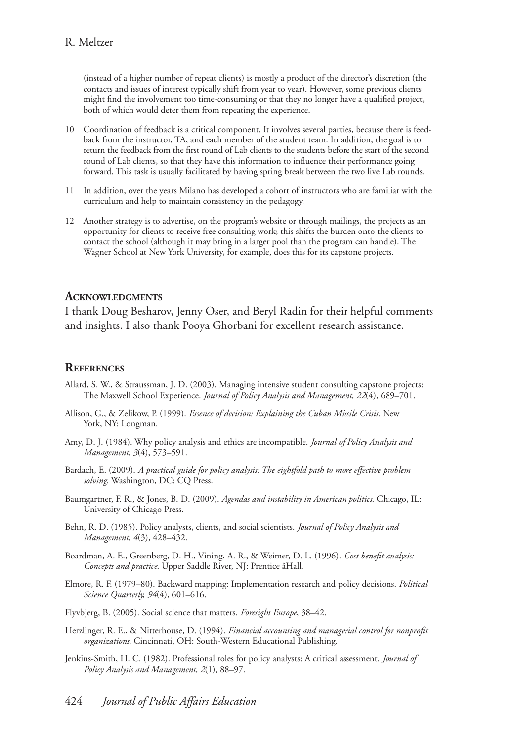(instead of a higher number of repeat clients) is mostly a product of the director's discretion (the contacts and issues of interest typically shift from year to year). However, some previous clients might find the involvement too time-consuming or that they no longer have a qualified project, both of which would deter them from repeating the experience.

- 10 Coordination of feedback is a critical component. It involves several parties, because there is feedback from the instructor, TA, and each member of the student team. In addition, the goal is to return the feedback from the first round of Lab clients to the students before the start of the second round of Lab clients, so that they have this information to influence their performance going forward. This task is usually facilitated by having spring break between the two live Lab rounds.
- 11 In addition, over the years Milano has developed a cohort of instructors who are familiar with the curriculum and help to maintain consistency in the pedagogy.
- 12 Another strategy is to advertise, on the program's website or through mailings, the projects as an opportunity for clients to receive free consulting work; this shifts the burden onto the clients to contact the school (although it may bring in a larger pool than the program can handle). The Wagner School at New York University, for example, does this for its capstone projects.

#### **Acknowledgments**

I thank Doug Besharov, Jenny Oser, and Beryl Radin for their helpful comments and insights. I also thank Pooya Ghorbani for excellent research assistance.

#### **References**

- Allard, S. W., & Straussman, J. D. (2003). Managing intensive student consulting capstone projects: The Maxwell School Experience. *Journal of Policy Analysis and Management, 22*(4), 689–701.
- Allison, G., & Zelikow, P. (1999). *Essence of decision: Explaining the Cuban Missile Crisis*. New York, NY: Longman.
- Amy, D. J. (1984). Why policy analysis and ethics are incompatible. *Journal of Policy Analysis and Management, 3*(4), 573–591.
- Bardach, E. (2009). *A practical guide for policy analysis: The eightfold path to more effective problem solving*. Washington, DC: CQ Press.
- Baumgartner, F. R., & Jones, B. D. (2009). *Agendas and instability in American politics*. Chicago, IL: University of Chicago Press.
- Behn, R. D. (1985). Policy analysts, clients, and social scientists. *Journal of Policy Analysis and Management, 4*(3), 428–432.
- Boardman, A. E., Greenberg, D. H., Vining, A. R., & Weimer, D. L. (1996). *Cost benefit analysis: Concepts and practice*. Upper Saddle River, NJ: Prentice åHall.
- Elmore, R. F. (1979–80). Backward mapping: Implementation research and policy decisions. *Political Science Quarterly, 94*(4), 601–616.
- Flyvbjerg, B. (2005). Social science that matters. *Foresight Europe*, 38–42.
- Herzlinger, R. E., & Nitterhouse, D. (1994). *Financial accounting and managerial control for nonprofit organizations*. Cincinnati, OH: South-Western Educational Publishing.
- Jenkins-Smith, H. C. (1982). Professional roles for policy analysts: A critical assessment. *Journal of Policy Analysis and Management, 2*(1), 88–97.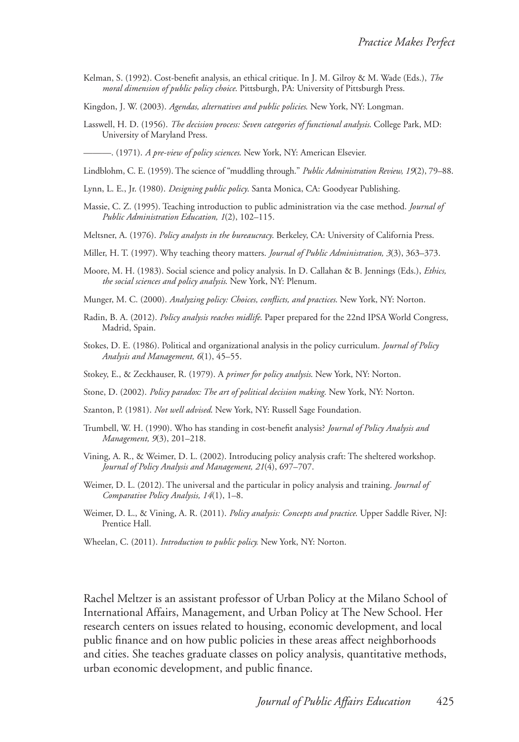Kelman, S. (1992). Cost-benefit analysis, an ethical critique. In J. M. Gilroy & M. Wade (Eds.), *The moral dimension of public policy choice*. Pittsburgh, PA: University of Pittsburgh Press.

Kingdon, J. W. (2003). *Agendas, alternatives and public policies*. New York, NY: Longman.

Lasswell, H. D. (1956). *The decision process: Seven categories of functional analysis*. College Park, MD: University of Maryland Press.

———. (1971). *A pre-view of policy sciences*. New York, NY: American Elsevier.

Lindblohm, C. E. (1959). The science of "muddling through." *Public Administration Review, 19*(2), 79–88.

- Lynn, L. E., Jr. (1980). *Designing public policy*. Santa Monica, CA: Goodyear Publishing.
- Massie, C. Z. (1995). Teaching introduction to public administration via the case method. *Journal of Public Administration Education, 1*(2), 102–115.

Meltsner, A. (1976). *Policy analysts in the bureaucracy*. Berkeley, CA: University of California Press.

- Miller, H. T. (1997). Why teaching theory matters. *Journal of Public Administration, 3*(3), 363–373.
- Moore, M. H. (1983). Social science and policy analysis. In D. Callahan & B. Jennings (Eds.), *Ethics, the social sciences and policy analysis*. New York, NY: Plenum.
- Munger, M. C. (2000). *Analyzing policy: Choices, conflicts, and practices*. New York, NY: Norton.
- Radin, B. A. (2012). *Policy analysis reaches midlife*. Paper prepared for the 22nd IPSA World Congress, Madrid, Spain.
- Stokes, D. E. (1986). Political and organizational analysis in the policy curriculum. *Journal of Policy Analysis and Management, 6*(1), 45–55.
- Stokey, E., & Zeckhauser, R. (1979). A *primer for policy analysis*. New York, NY: Norton.
- Stone, D. (2002). *Policy paradox: The art of political decision making*. New York, NY: Norton.
- Szanton, P. (1981). *Not well advised*. New York, NY: Russell Sage Foundation.
- Trumbell, W. H. (1990). Who has standing in cost-benefit analysis? *Journal of Policy Analysis and Management, 9*(3), 201–218.
- Vining, A. R., & Weimer, D. L. (2002). Introducing policy analysis craft: The sheltered workshop. *Journal of Policy Analysis and Management, 21*(4), 697–707.
- Weimer, D. L. (2012). The universal and the particular in policy analysis and training. *Journal of Comparative Policy Analysis, 14*(1), 1–8.
- Weimer, D. L., & Vining, A. R. (2011). *Policy analysis: Concepts and practice*. Upper Saddle River, NJ: Prentice Hall.
- Wheelan, C. (2011). *Introduction to public policy.* New York, NY: Norton.

Rachel Meltzer is an assistant professor of Urban Policy at the Milano School of International Affairs, Management, and Urban Policy at The New School. Her research centers on issues related to housing, economic development, and local public finance and on how public policies in these areas affect neighborhoods and cities. She teaches graduate classes on policy analysis, quantitative methods, urban economic development, and public finance.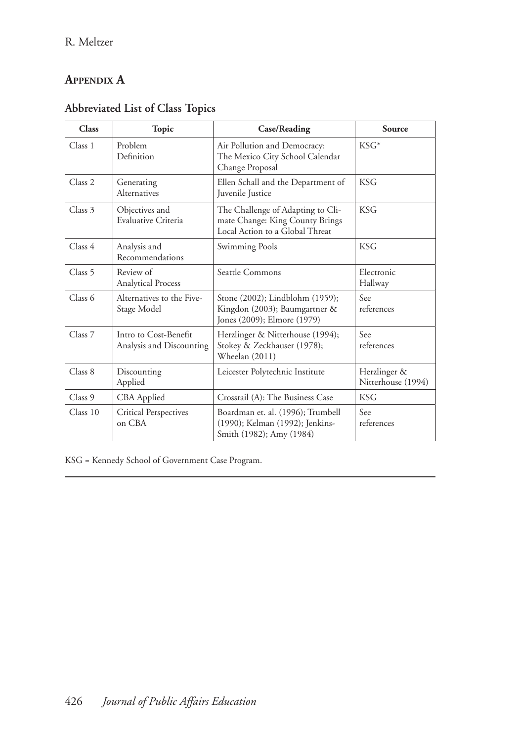## **Appendix A**

## **Abbreviated List of Class Topics**

| <b>Class</b>       | <b>Topic</b>                                      | Case/Reading                                                                                            | Source                             |
|--------------------|---------------------------------------------------|---------------------------------------------------------------------------------------------------------|------------------------------------|
| Class 1            | Problem<br>Definition                             | Air Pollution and Democracy:<br>The Mexico City School Calendar<br>Change Proposal                      | $KSG^*$                            |
| Class <sub>2</sub> | Generating<br>Alternatives                        | Ellen Schall and the Department of<br>Juvenile Justice                                                  | <b>KSG</b>                         |
| Class 3            | Objectives and<br>Evaluative Criteria             | The Challenge of Adapting to Cli-<br>mate Change: King County Brings<br>Local Action to a Global Threat | <b>KSG</b>                         |
| Class 4            | Analysis and<br>Recommendations                   | Swimming Pools                                                                                          | <b>KSG</b>                         |
| Class 5            | Review of<br><b>Analytical Process</b>            | Seattle Commons                                                                                         | Electronic<br>Hallway              |
| Class 6            | Alternatives to the Five-<br>Stage Model          | Stone (2002); Lindblohm (1959);<br>Kingdon (2003); Baumgartner &<br>Jones (2009); Elmore (1979)         | See<br>references                  |
| Class 7            | Intro to Cost-Benefit<br>Analysis and Discounting | Herzlinger & Nitterhouse (1994);<br>Stokey & Zeckhauser (1978);<br>Wheelan (2011)                       | See<br>references                  |
| Class 8            | Discounting<br>Applied                            | Leicester Polytechnic Institute                                                                         | Herzlinger &<br>Nitterhouse (1994) |
| Class 9            | CBA Applied                                       | Crossrail (A): The Business Case                                                                        | <b>KSG</b>                         |
| Class 10           | Critical Perspectives<br>on CBA                   | Boardman et. al. (1996); Trumbell<br>(1990); Kelman (1992); Jenkins-<br>Smith (1982); Amy (1984)        | See<br>references                  |

KSG = Kennedy School of Government Case Program.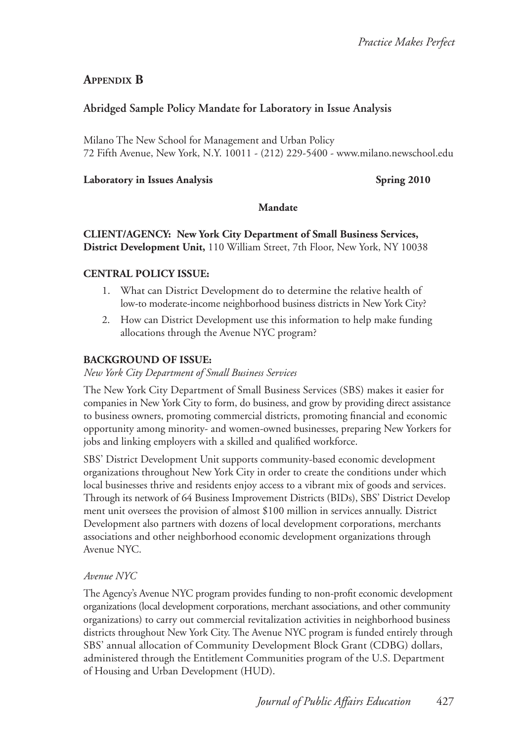## **Appendix B**

## **Abridged Sample Policy Mandate for Laboratory in Issue Analysis**

Milano The New School for Management and Urban Policy 72 Fifth Avenue, New York, N.Y. 10011 - (212) 229-5400 - www.milano.newschool.edu

## **Laboratory in Issues Analysis Spring 2010**

### **Mandate**

## **CLIENT/AGENCY: New York City Department of Small Business Services, District Development Unit,** 110 William Street, 7th Floor, New York, NY 10038

## **CENTRAL POLICY ISSUE:**

- 1. What can District Development do to determine the relative health of low-to moderate-income neighborhood business districts in New York City?
- 2. How can District Development use this information to help make funding allocations through the Avenue NYC program?

## **BACKGROUND OF ISSUE:**

### *New York City Department of Small Business Services*

The New York City Department of Small Business Services (SBS) makes it easier for companies in New York City to form, do business, and grow by providing direct assistance to business owners, promoting commercial districts, promoting financial and economic opportunity among minority- and women-owned businesses, preparing New Yorkers for jobs and linking employers with a skilled and qualified workforce.

SBS' District Development Unit supports community-based economic development organizations throughout New York City in order to create the conditions under which local businesses thrive and residents enjoy access to a vibrant mix of goods and services. Through its network of 64 Business Improvement Districts (BIDs), SBS' District Develop ment unit oversees the provision of almost \$100 million in services annually. District Development also partners with dozens of local development corporations, merchants associations and other neighborhood economic development organizations through Avenue NYC.

### *Avenue NYC*

The Agency's Avenue NYC program provides funding to non-profit economic development organizations (local development corporations, merchant associations, and other community organizations) to carry out commercial revitalization activities in neighborhood business districts throughout New York City. The Avenue NYC program is funded entirely through SBS' annual allocation of Community Development Block Grant (CDBG) dollars, administered through the Entitlement Communities program of the U.S. Department of Housing and Urban Development (HUD).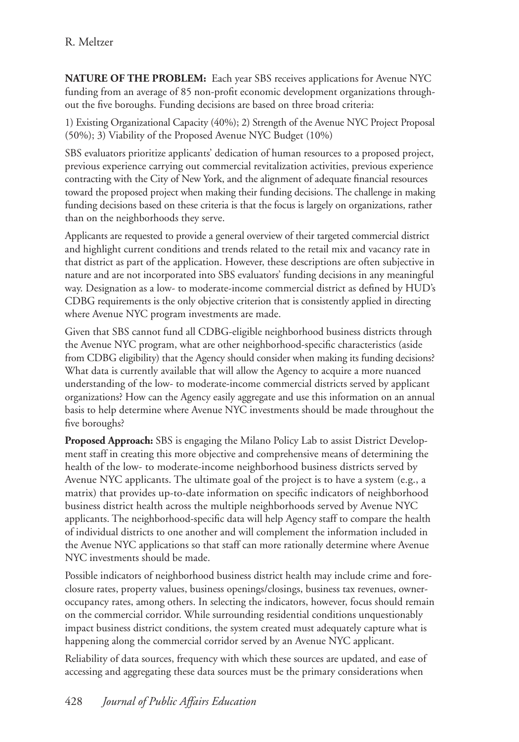**NATURE OF THE PROBLEM:** Each year SBS receives applications for Avenue NYC funding from an average of 85 non-profit economic development organizations throughout the five boroughs. Funding decisions are based on three broad criteria:

1) Existing Organizational Capacity (40%); 2) Strength of the Avenue NYC Project Proposal (50%); 3) Viability of the Proposed Avenue NYC Budget (10%)

SBS evaluators prioritize applicants' dedication of human resources to a proposed project, previous experience carrying out commercial revitalization activities, previous experience contracting with the City of New York, and the alignment of adequate financial resources toward the proposed project when making their funding decisions. The challenge in making funding decisions based on these criteria is that the focus is largely on organizations, rather than on the neighborhoods they serve.

Applicants are requested to provide a general overview of their targeted commercial district and highlight current conditions and trends related to the retail mix and vacancy rate in that district as part of the application. However, these descriptions are often subjective in nature and are not incorporated into SBS evaluators' funding decisions in any meaningful way. Designation as a low- to moderate-income commercial district as defined by HUD's CDBG requirements is the only objective criterion that is consistently applied in directing where Avenue NYC program investments are made.

Given that SBS cannot fund all CDBG-eligible neighborhood business districts through the Avenue NYC program, what are other neighborhood-specific characteristics (aside from CDBG eligibility) that the Agency should consider when making its funding decisions? What data is currently available that will allow the Agency to acquire a more nuanced understanding of the low- to moderate-income commercial districts served by applicant organizations? How can the Agency easily aggregate and use this information on an annual basis to help determine where Avenue NYC investments should be made throughout the five boroughs?

**Proposed Approach:** SBS is engaging the Milano Policy Lab to assist District Development staff in creating this more objective and comprehensive means of determining the health of the low- to moderate-income neighborhood business districts served by Avenue NYC applicants. The ultimate goal of the project is to have a system (e.g., a matrix) that provides up-to-date information on specific indicators of neighborhood business district health across the multiple neighborhoods served by Avenue NYC applicants. The neighborhood-specific data will help Agency staff to compare the health of individual districts to one another and will complement the information included in the Avenue NYC applications so that staff can more rationally determine where Avenue NYC investments should be made.

Possible indicators of neighborhood business district health may include crime and foreclosure rates, property values, business openings/closings, business tax revenues, owneroccupancy rates, among others. In selecting the indicators, however, focus should remain on the commercial corridor. While surrounding residential conditions unquestionably impact business district conditions, the system created must adequately capture what is happening along the commercial corridor served by an Avenue NYC applicant.

Reliability of data sources, frequency with which these sources are updated, and ease of accessing and aggregating these data sources must be the primary considerations when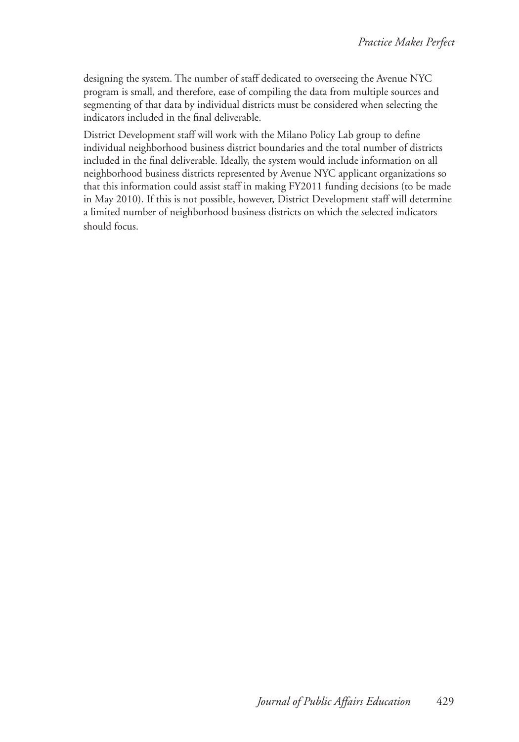designing the system. The number of staff dedicated to overseeing the Avenue NYC program is small, and therefore, ease of compiling the data from multiple sources and segmenting of that data by individual districts must be considered when selecting the indicators included in the final deliverable.

District Development staff will work with the Milano Policy Lab group to define individual neighborhood business district boundaries and the total number of districts included in the final deliverable. Ideally, the system would include information on all neighborhood business districts represented by Avenue NYC applicant organizations so that this information could assist staff in making FY2011 funding decisions (to be made in May 2010). If this is not possible, however, District Development staff will determine a limited number of neighborhood business districts on which the selected indicators should focus.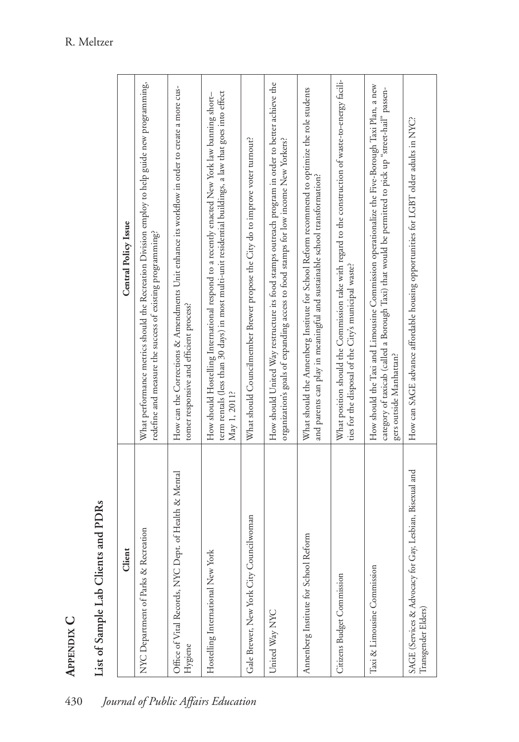| Client                                                                          | <b>Central Policy Issue</b>                                                                                                                                                                                                      |
|---------------------------------------------------------------------------------|----------------------------------------------------------------------------------------------------------------------------------------------------------------------------------------------------------------------------------|
| NYC Department of Parks & Recreation                                            | What performance metrics should the Recreation Division employ to help guide new programming,<br>redefine and measure the success of existing programming?                                                                       |
| Office of Vital Records, NYC Dept. of Health & Mental<br>Hygiene                | How can the Corrections & Amendments Unit enhance its workflow in order to create a more cus-<br>tomer responsive and efficient process?                                                                                         |
| Hostelling International New York                                               | term rentals (less than 30 days) in most multi-unit residential buildings, a law that goes into effect<br>How should Hostelling International respond to a recently enacted New York law banning short–<br>May 1, 2011?          |
| Gale Brewer, New York City Councilwoman                                         | What should Councilmember Brewer propose the City do to improve voter turnout?                                                                                                                                                   |
| United Way NYC                                                                  | How should United Way restructure its food stamps outreach program in order to better achieve the<br>organization's goals of expanding access to food stamps for low income New Yorkers?                                         |
| Annenberg Institute for School Reform                                           | What should the Annenberg Institute for School Reform recommend to optimize the role students<br>and parents can play in meaningful and sustainable school transformation?                                                       |
| Citizens Budget Commission                                                      | What position should the Commission take with regard to the construction of waste-to-energy facili-<br>ties for the disposal of the City's municipal waste?                                                                      |
| Taxi & Limousine Commission                                                     | How should the Taxi and Limousine Commission operationalize the Five-Borough Taxi Plan, a new<br>category of taxicab (called a Borough Taxi) that would be permitted to pick up "street-hail" passen-<br>gers outside Manhattan? |
| SAGE (Services & Advocacy for Gay, Lesbian, Bisexual and<br>Transgender Elders) | How can SAGE advance affordable housing opportunities for LGBT older adults in NYC?                                                                                                                                              |

**Appendix**

**C**

**List of Sample Lab Clients and PDRs**

List of Sample Lab Clients and PDRs